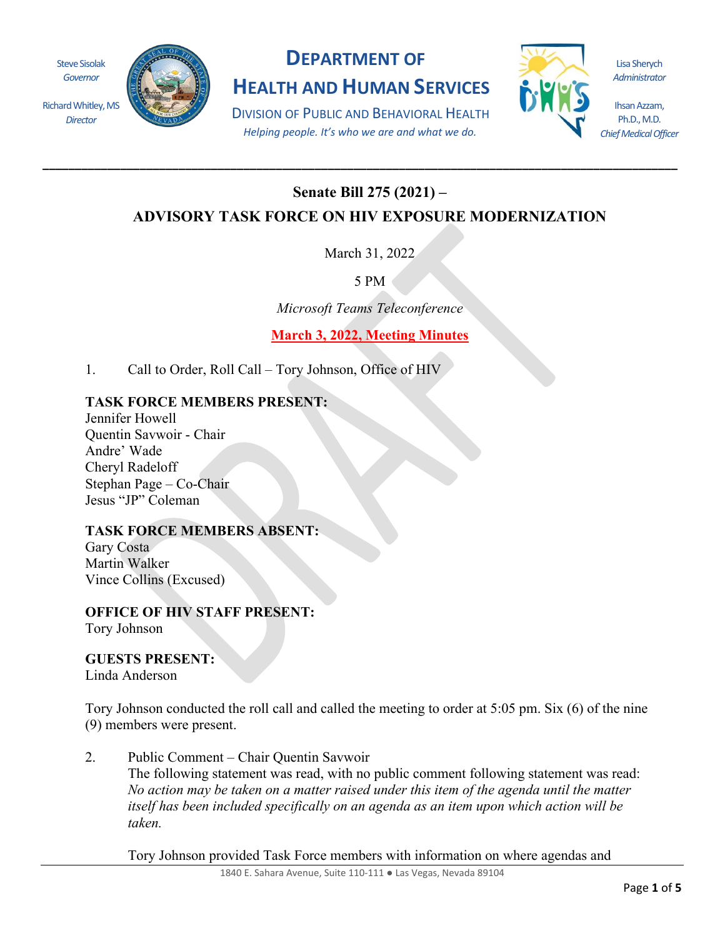Steve Sisolak *Governor*

Richard Whitley, MS *Director*



## **DEPARTMENT OF**

**HEALTH AND HUMAN SERVICES**

DIVISION OF PUBLIC AND BEHAVIORAL HEALTH *Helping people. It's who we are and what we do.*

**\_\_\_\_\_\_\_\_\_\_\_\_\_\_\_\_\_\_\_\_\_\_\_\_\_\_\_\_\_\_\_\_\_\_\_\_\_\_\_\_\_\_\_\_\_\_\_\_\_\_\_\_\_\_\_\_\_\_\_\_\_\_\_\_\_\_\_\_\_\_\_\_\_\_\_\_\_\_\_\_\_\_\_\_\_\_\_\_\_\_\_\_\_\_\_\_\_\_**



Lisa Sherych *Administrator*

Ihsan Azzam, Ph.D., M.D. *Chief Medical Officer*

## **Senate Bill 275 (2021) –**

**ADVISORY TASK FORCE ON HIV EXPOSURE MODERNIZATION**

March 31, 2022

5 PM

*Microsoft Teams Teleconference*

**March 3, 2022, Meeting Minutes**

1. Call to Order, Roll Call – Tory Johnson, Office of HIV

## **TASK FORCE MEMBERS PRESENT:**

Jennifer Howell Quentin Savwoir - Chair Andre' Wade Cheryl Radeloff Stephan Page – Co-Chair Jesus "JP" Coleman

## **TASK FORCE MEMBERS ABSENT:**

Gary Costa Martin Walker Vince Collins (Excused)

**OFFICE OF HIV STAFF PRESENT:** Tory Johnson

**GUESTS PRESENT:**

Linda Anderson

Tory Johnson conducted the roll call and called the meeting to order at 5:05 pm. Six (6) of the nine (9) members were present.

2. Public Comment – Chair Quentin Savwoir The following statement was read, with no public comment following statement was read: *No action may be taken on a matter raised under this item of the agenda until the matter itself has been included specifically on an agenda as an item upon which action will be taken.*

Tory Johnson provided Task Force members with information on where agendas and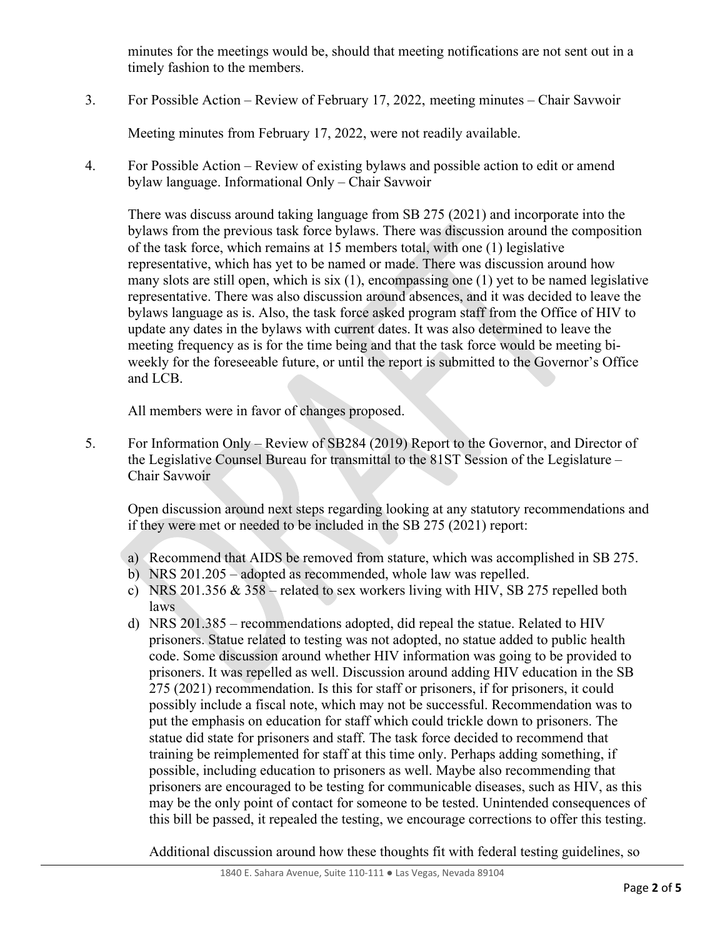minutes for the meetings would be, should that meeting notifications are not sent out in a timely fashion to the members.

3. For Possible Action – Review of February 17, 2022, meeting minutes – Chair Savwoir

Meeting minutes from February 17, 2022, were not readily available.

4. For Possible Action – Review of existing bylaws and possible action to edit or amend bylaw language. Informational Only – Chair Savwoir

There was discuss around taking language from SB 275 (2021) and incorporate into the bylaws from the previous task force bylaws. There was discussion around the composition of the task force, which remains at 15 members total, with one (1) legislative representative, which has yet to be named or made. There was discussion around how many slots are still open, which is six (1), encompassing one (1) yet to be named legislative representative. There was also discussion around absences, and it was decided to leave the bylaws language as is. Also, the task force asked program staff from the Office of HIV to update any dates in the bylaws with current dates. It was also determined to leave the meeting frequency as is for the time being and that the task force would be meeting biweekly for the foreseeable future, or until the report is submitted to the Governor's Office and LCB.

All members were in favor of changes proposed.

5. For Information Only – Review of SB284 (2019) Report to the Governor, and Director of the Legislative Counsel Bureau for transmittal to the 81ST Session of the Legislature – Chair Savwoir

Open discussion around next steps regarding looking at any statutory recommendations and if they were met or needed to be included in the SB 275 (2021) report:

- a) Recommend that AIDS be removed from stature, which was accomplished in SB 275.
- b) NRS 201.205 adopted as recommended, whole law was repelled.
- c) NRS 201.356  $& 358$  related to sex workers living with HIV, SB 275 repelled both laws
- d) NRS 201.385 recommendations adopted, did repeal the statue. Related to HIV prisoners. Statue related to testing was not adopted, no statue added to public health code. Some discussion around whether HIV information was going to be provided to prisoners. It was repelled as well. Discussion around adding HIV education in the SB 275 (2021) recommendation. Is this for staff or prisoners, if for prisoners, it could possibly include a fiscal note, which may not be successful. Recommendation was to put the emphasis on education for staff which could trickle down to prisoners. The statue did state for prisoners and staff. The task force decided to recommend that training be reimplemented for staff at this time only. Perhaps adding something, if possible, including education to prisoners as well. Maybe also recommending that prisoners are encouraged to be testing for communicable diseases, such as HIV, as this may be the only point of contact for someone to be tested. Unintended consequences of this bill be passed, it repealed the testing, we encourage corrections to offer this testing.

Additional discussion around how these thoughts fit with federal testing guidelines, so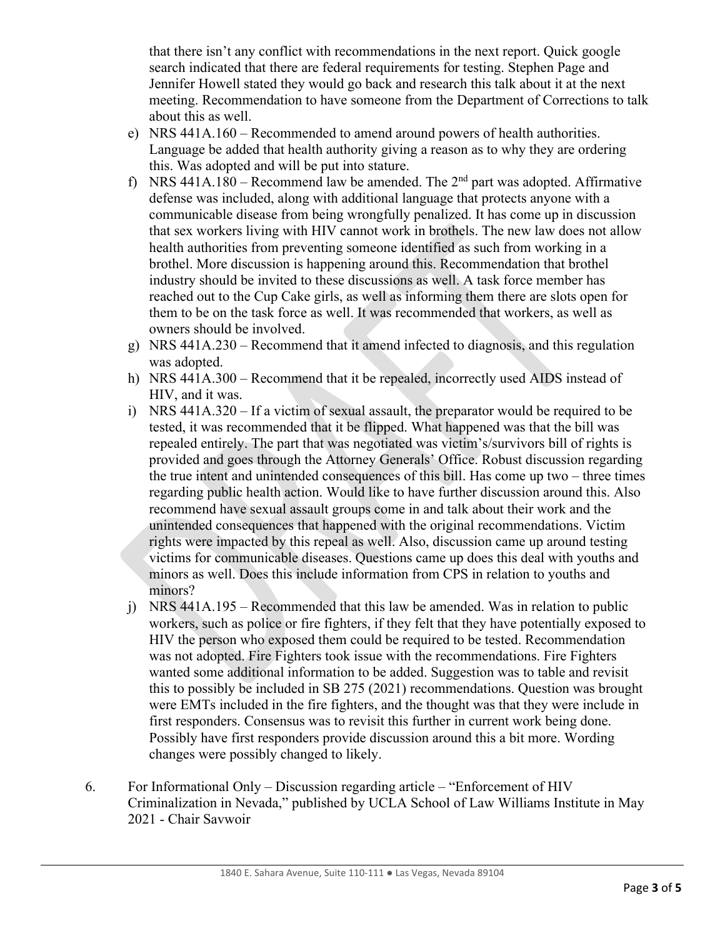that there isn't any conflict with recommendations in the next report. Quick google search indicated that there are federal requirements for testing. Stephen Page and Jennifer Howell stated they would go back and research this talk about it at the next meeting. Recommendation to have someone from the Department of Corrections to talk about this as well.

- e) NRS 441A.160 Recommended to amend around powers of health authorities. Language be added that health authority giving a reason as to why they are ordering this. Was adopted and will be put into stature.
- f) NRS 441A.180 Recommend law be amended. The  $2<sup>nd</sup>$  part was adopted. Affirmative defense was included, along with additional language that protects anyone with a communicable disease from being wrongfully penalized. It has come up in discussion that sex workers living with HIV cannot work in brothels. The new law does not allow health authorities from preventing someone identified as such from working in a brothel. More discussion is happening around this. Recommendation that brothel industry should be invited to these discussions as well. A task force member has reached out to the Cup Cake girls, as well as informing them there are slots open for them to be on the task force as well. It was recommended that workers, as well as owners should be involved.
- g) NRS 441A.230 Recommend that it amend infected to diagnosis, and this regulation was adopted.
- h) NRS 441A.300 Recommend that it be repealed, incorrectly used AIDS instead of HIV, and it was.
- i) NRS 441A.320 If a victim of sexual assault, the preparator would be required to be tested, it was recommended that it be flipped. What happened was that the bill was repealed entirely. The part that was negotiated was victim's/survivors bill of rights is provided and goes through the Attorney Generals' Office. Robust discussion regarding the true intent and unintended consequences of this bill. Has come up two – three times regarding public health action. Would like to have further discussion around this. Also recommend have sexual assault groups come in and talk about their work and the unintended consequences that happened with the original recommendations. Victim rights were impacted by this repeal as well. Also, discussion came up around testing victims for communicable diseases. Questions came up does this deal with youths and minors as well. Does this include information from CPS in relation to youths and minors?
- j) NRS 441A.195 Recommended that this law be amended. Was in relation to public workers, such as police or fire fighters, if they felt that they have potentially exposed to HIV the person who exposed them could be required to be tested. Recommendation was not adopted. Fire Fighters took issue with the recommendations. Fire Fighters wanted some additional information to be added. Suggestion was to table and revisit this to possibly be included in SB 275 (2021) recommendations. Question was brought were EMTs included in the fire fighters, and the thought was that they were include in first responders. Consensus was to revisit this further in current work being done. Possibly have first responders provide discussion around this a bit more. Wording changes were possibly changed to likely.
- 6. For Informational Only Discussion regarding article "Enforcement of HIV Criminalization in Nevada," published by UCLA School of Law Williams Institute in May 2021 - Chair Savwoir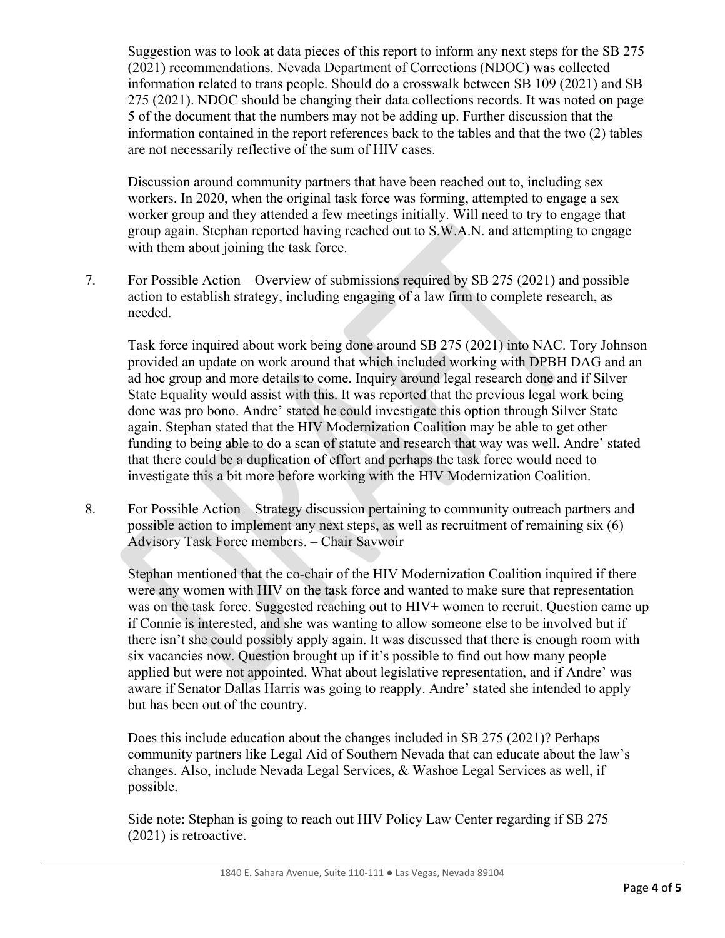Suggestion was to look at data pieces of this report to inform any next steps for the SB 275 (2021) recommendations. Nevada Department of Corrections (NDOC) was collected information related to trans people. Should do a crosswalk between SB 109 (2021) and SB 275 (2021). NDOC should be changing their data collections records. It was noted on page 5 of the document that the numbers may not be adding up. Further discussion that the information contained in the report references back to the tables and that the two (2) tables are not necessarily reflective of the sum of HIV cases.

Discussion around community partners that have been reached out to, including sex workers. In 2020, when the original task force was forming, attempted to engage a sex worker group and they attended a few meetings initially. Will need to try to engage that group again. Stephan reported having reached out to S.W.A.N. and attempting to engage with them about joining the task force.

7. For Possible Action – Overview of submissions required by SB 275 (2021) and possible action to establish strategy, including engaging of a law firm to complete research, as needed.

Task force inquired about work being done around SB 275 (2021) into NAC. Tory Johnson provided an update on work around that which included working with DPBH DAG and an ad hoc group and more details to come. Inquiry around legal research done and if Silver State Equality would assist with this. It was reported that the previous legal work being done was pro bono. Andre' stated he could investigate this option through Silver State again. Stephan stated that the HIV Modernization Coalition may be able to get other funding to being able to do a scan of statute and research that way was well. Andre' stated that there could be a duplication of effort and perhaps the task force would need to investigate this a bit more before working with the HIV Modernization Coalition.

8. For Possible Action – Strategy discussion pertaining to community outreach partners and possible action to implement any next steps, as well as recruitment of remaining six (6) Advisory Task Force members. – Chair Savwoir

Stephan mentioned that the co-chair of the HIV Modernization Coalition inquired if there were any women with HIV on the task force and wanted to make sure that representation was on the task force. Suggested reaching out to HIV+ women to recruit. Question came up if Connie is interested, and she was wanting to allow someone else to be involved but if there isn't she could possibly apply again. It was discussed that there is enough room with six vacancies now. Question brought up if it's possible to find out how many people applied but were not appointed. What about legislative representation, and if Andre' was aware if Senator Dallas Harris was going to reapply. Andre' stated she intended to apply but has been out of the country.

Does this include education about the changes included in SB 275 (2021)? Perhaps community partners like Legal Aid of Southern Nevada that can educate about the law's changes. Also, include Nevada Legal Services, & Washoe Legal Services as well, if possible.

Side note: Stephan is going to reach out HIV Policy Law Center regarding if SB 275 (2021) is retroactive.